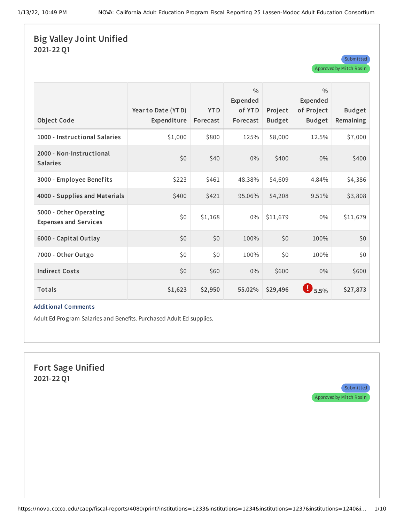## **Big Valley Joint Unified 2021-22 Q1**

| <b>Object Code</b>                                     | Year to Date (YTD)<br>Expenditure | <b>YTD</b><br>Forecast | $\frac{0}{0}$<br>Expended<br>of YTD<br>Forecast | Project<br><b>Budget</b> | $\frac{0}{0}$<br>Expended<br>of Project<br><b>Budget</b> | <b>Budget</b><br>Remaining |
|--------------------------------------------------------|-----------------------------------|------------------------|-------------------------------------------------|--------------------------|----------------------------------------------------------|----------------------------|
| 1000 - Instructional Salaries                          | \$1,000                           | \$800                  | 125%                                            | \$8,000                  | 12.5%                                                    | \$7,000                    |
| 2000 - Non-Instructional<br><b>Salaries</b>            | \$0                               | \$40                   | 0%                                              | \$400                    | $0\%$                                                    | \$400                      |
| 3000 - Employee Benefits                               | \$223                             | \$461                  | 48.38%                                          | \$4,609                  | 4.84%                                                    | \$4,386                    |
| 4000 - Supplies and Materials                          | \$400                             | \$421                  | 95.06%                                          | \$4,208                  | 9.51%                                                    | \$3,808                    |
| 5000 - Other Operating<br><b>Expenses and Services</b> | \$0                               | \$1,168                | 0%                                              | \$11,679                 | $0\%$                                                    | \$11,679                   |
| 6000 - Capital Outlay                                  | \$0                               | \$0                    | 100%                                            | \$0                      | 100%                                                     | \$0                        |
| 7000 - Other Outgo                                     | \$0                               | \$0                    | 100%                                            | \$0                      | 100%                                                     | \$0                        |
| <b>Indirect Costs</b>                                  | \$0                               | \$60                   | 0%                                              | \$600                    | 0%                                                       | \$600                      |
| Totals                                                 | \$1,623                           | \$2,950                | 55.02%                                          | \$29,496                 | $\bullet$ 5.5%                                           | \$27,873                   |

#### **Additional Comment s**

Adult Ed Program Salaries and Benefits. Purchased Adult Ed supplies.

**Fort Sage Unified 2021-22 Q1**

> **Submitted** Approved by Mitch Rosin

**Submitted** 

Approved by Mitch Rosin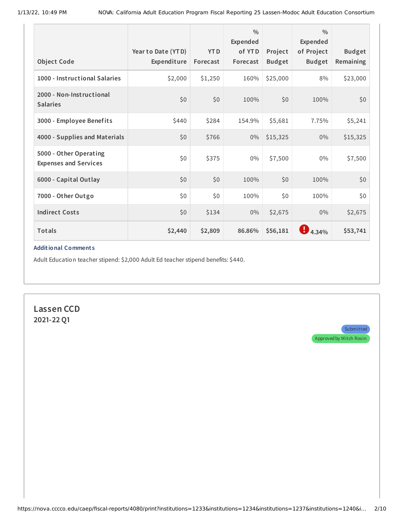| <b>Object Code</b>                                     | Year to Date (YTD)<br>Expenditure | <b>YTD</b><br>Forecast | 0/0<br>Expended<br>of YTD<br>Forecast | Project<br><b>Budget</b> | $\frac{0}{0}$<br>Expended<br>of Project<br><b>Budget</b> | <b>Budget</b><br>Remaining |
|--------------------------------------------------------|-----------------------------------|------------------------|---------------------------------------|--------------------------|----------------------------------------------------------|----------------------------|
| 1000 - Instructional Salaries                          | \$2,000                           | \$1,250                | 160%                                  | \$25,000                 | 8%                                                       | \$23,000                   |
| 2000 - Non-Instructional<br><b>Salaries</b>            | \$0                               | \$0                    | 100%                                  | \$0                      | 100%                                                     | \$0                        |
| 3000 - Employee Benefits                               | \$440                             | \$284                  | 154.9%                                | \$5,681                  | 7.75%                                                    | \$5,241                    |
| 4000 - Supplies and Materials                          | \$0                               | \$766                  | $0\%$                                 | \$15,325                 | $0\%$                                                    | \$15,325                   |
| 5000 - Other Operating<br><b>Expenses and Services</b> | \$0                               | \$375                  | $0\%$                                 | \$7,500                  | $0\%$                                                    | \$7,500                    |
| 6000 - Capital Outlay                                  | \$0                               | \$0                    | 100%                                  | \$0                      | 100%                                                     | \$0                        |
| 7000 - Other Outgo                                     | \$0\$                             | \$0                    | 100%                                  | \$0\$                    | 100%                                                     | \$0                        |
| <b>Indirect Costs</b>                                  | \$0                               | \$134                  | $0\%$                                 | \$2,675                  | 0%                                                       | \$2,675                    |
| Totals                                                 | \$2,440                           | \$2,809                | 86.86%                                | \$56,181                 | $\bigoplus_{4.34\%}$                                     | \$53,741                   |

Adult Education teacher stipend: \$2,000 Adult Ed teacher stipend benefits: \$440.

**Lassen CCD 2021-22 Q1**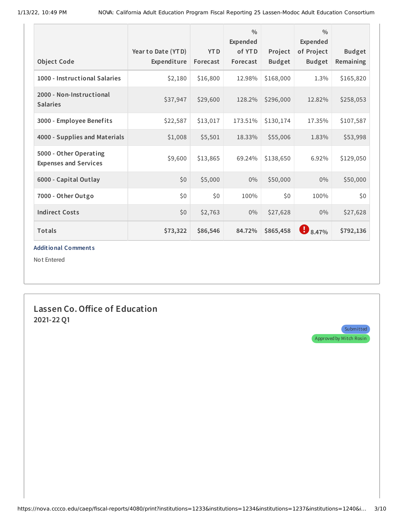| Object Code                                            | Year to Date (YTD)<br>Expenditure | <b>YTD</b><br>Forecast | $\frac{0}{0}$<br>Expended<br>of YTD<br>Forecast | Project<br><b>Budget</b> | $\frac{0}{0}$<br>Expended<br>of Project<br><b>Budget</b> | <b>Budget</b><br>Remaining |
|--------------------------------------------------------|-----------------------------------|------------------------|-------------------------------------------------|--------------------------|----------------------------------------------------------|----------------------------|
| 1000 - Instructional Salaries                          | \$2,180                           | \$16,800               | 12.98%                                          | \$168,000                | 1.3%                                                     | \$165,820                  |
| 2000 - Non-Instructional<br><b>Salaries</b>            | \$37,947                          | \$29,600               | 128.2%                                          | \$296,000                | 12.82%                                                   | \$258,053                  |
| 3000 - Employee Benefits                               | \$22,587                          | \$13,017               | 173.51%                                         | \$130,174                | 17.35%                                                   | \$107,587                  |
| 4000 - Supplies and Materials                          | \$1,008                           | \$5,501                | 18.33%                                          | \$55,006                 | 1.83%                                                    | \$53,998                   |
| 5000 - Other Operating<br><b>Expenses and Services</b> | \$9,600                           | \$13,865               | 69.24%                                          | \$138,650                | 6.92%                                                    | \$129,050                  |
| 6000 - Capital Outlay                                  | \$0                               | \$5,000                | $0\%$                                           | \$50,000                 | $0\%$                                                    | \$50,000                   |
| 7000 - Other Outgo                                     | \$0                               | \$0                    | 100%                                            | \$0\$                    | 100%                                                     | \$0                        |
| <b>Indirect Costs</b>                                  | \$0                               | \$2,763                | $0\%$                                           | \$27,628                 | 0%                                                       | \$27,628                   |
| Totals                                                 | \$73,322                          | \$86,546               | 84.72%                                          | \$865,458                | $\bigoplus_{8.47\%}$                                     | \$792,136                  |

Not Entered

## **Lassen Co.Office of Education 2021-22 Q1**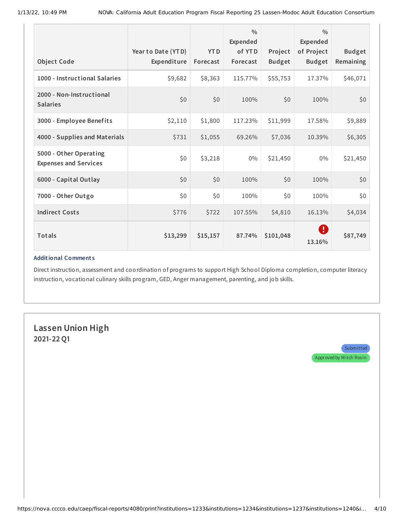| <b>Object Code</b>                                     | Year to Date (YTD)<br>Expenditure | <b>YTD</b><br>Forecast | $\frac{0}{0}$<br>Expended<br>of YTD<br>Forecast | Project<br><b>Budget</b> | $\frac{0}{0}$<br>Expended<br>of Project<br><b>Budget</b> | <b>Budget</b><br>Remaining |
|--------------------------------------------------------|-----------------------------------|------------------------|-------------------------------------------------|--------------------------|----------------------------------------------------------|----------------------------|
| 1000 - Instructional Salaries                          | \$9,682                           | \$8,363                | 115.77%                                         | \$55,753                 | 17.37%                                                   | \$46,071                   |
| 2000 - Non-Instructional<br><b>Salaries</b>            | \$0                               | \$0                    | 100%                                            | \$0                      | 100%                                                     | \$0                        |
| 3000 - Employee Benefits                               | \$2,110                           | \$1,800                | 117.23%                                         | \$11,999                 | 17.58%                                                   | \$9,889                    |
| 4000 - Supplies and Materials                          | \$731                             | \$1,055                | 69.26%                                          | \$7,036                  | 10.39%                                                   | \$6,305                    |
| 5000 - Other Operating<br><b>Expenses and Services</b> | \$0                               | \$3,218                | $0\%$                                           | \$21,450                 | $0\%$                                                    | \$21,450                   |
| 6000 - Capital Outlay                                  | \$0\$                             | \$0                    | 100%                                            | \$0                      | 100%                                                     | \$0                        |
| 7000 - Other Outgo                                     | \$0\$                             | \$0                    | 100%                                            | \$0                      | 100%                                                     | \$0                        |
| <b>Indirect Costs</b>                                  | \$776                             | \$722                  | 107.55%                                         | \$4,810                  | 16.13%                                                   | \$4,034                    |
| Totals                                                 | \$13,299                          | \$15,157               | 87.74%                                          | \$101,048                | O<br>13.16%                                              | \$87,749                   |

Direct instruction, assessment and coordination of programs to support High School Diploma completion, computer literacy instruction, vocational culinary skills program, GED, Anger management, parenting, and job skills.

# **Lassen Union High 2021-22 Q1**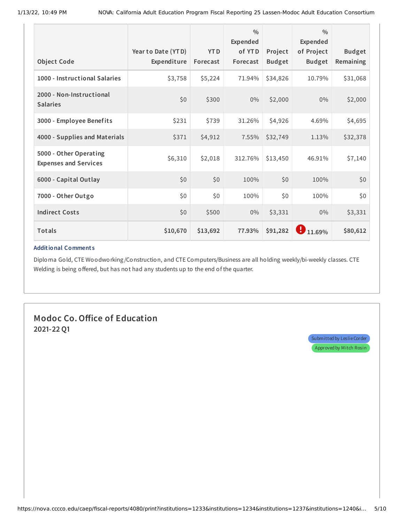| <b>Object Code</b>                                     | Year to Date (YTD)<br>Expenditure | <b>YTD</b><br>Forecast | $\frac{0}{0}$<br>Expended<br>of YTD<br>Forecast | Project<br><b>Budget</b> | $\frac{0}{0}$<br>Expended<br>of Project<br><b>Budget</b> | <b>Budget</b><br>Remaining |
|--------------------------------------------------------|-----------------------------------|------------------------|-------------------------------------------------|--------------------------|----------------------------------------------------------|----------------------------|
| 1000 - Instructional Salaries                          | \$3,758                           | \$5,224                | 71.94%                                          | \$34,826                 | 10.79%                                                   | \$31,068                   |
| 2000 - Non-Instructional<br><b>Salaries</b>            | \$0                               | \$300                  | 0%                                              | \$2,000                  | 0%                                                       | \$2,000                    |
| 3000 - Employee Benefits                               | \$231                             | \$739                  | 31.26%                                          | \$4,926                  | 4.69%                                                    | \$4,695                    |
| 4000 - Supplies and Materials                          | \$371                             | \$4,912                | 7.55%                                           | \$32,749                 | 1.13%                                                    | \$32,378                   |
| 5000 - Other Operating<br><b>Expenses and Services</b> | \$6,310                           | \$2,018                | 312.76%                                         | \$13,450                 | 46.91%                                                   | \$7,140                    |
| 6000 - Capital Outlay                                  | \$0                               | \$0                    | 100%                                            | \$0                      | 100%                                                     | \$0                        |
| 7000 - Other Outgo                                     | \$0                               | \$0                    | 100%                                            | \$0                      | 100%                                                     | \$0\$                      |
| <b>Indirect Costs</b>                                  | \$0                               | \$500                  | $0\%$                                           | \$3,331                  | 0%                                                       | \$3,331                    |
| <b>Totals</b>                                          | \$10,670                          | \$13,692               | 77.93%                                          | \$91,282                 | 11.69%                                                   | \$80,612                   |

Diploma Gold, CTE Woodworking /Construction, and CTE Computers/Business are all holding weekly/bi-weekly classes. CTE Welding is being offered, but has not had any students up to the end of the quarter.

**Modoc Co.Office of Education 2021-22 Q1**

> Submitted by Leslie Corder Approved by Mitch Rosin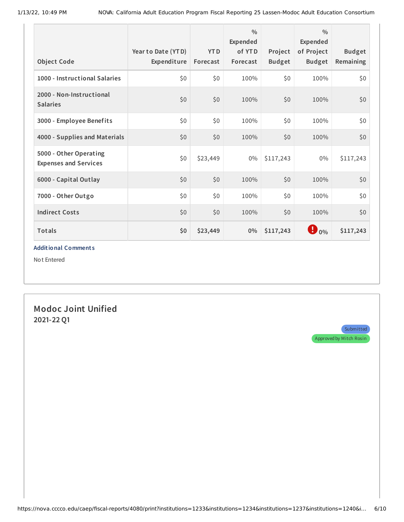| <b>Object Code</b>                                     | Year to Date (YTD)<br>Expenditure | <b>YTD</b><br>Forecast | $\frac{0}{0}$<br>Expended<br>of YTD<br>Forecast | Project<br><b>Budget</b> | $\frac{0}{0}$<br>Expended<br>of Project<br><b>Budget</b> | <b>Budget</b><br>Remaining |
|--------------------------------------------------------|-----------------------------------|------------------------|-------------------------------------------------|--------------------------|----------------------------------------------------------|----------------------------|
| 1000 - Instructional Salaries                          | \$0                               | \$0                    | 100%                                            | \$0                      | 100%                                                     | \$0                        |
| 2000 - Non-Instructional<br><b>Salaries</b>            | \$0                               | \$0                    | 100%                                            | \$0                      | 100%                                                     | \$0                        |
| 3000 - Employee Benefits                               | \$0                               | \$0                    | 100%                                            | \$0                      | 100%                                                     | \$0                        |
| 4000 - Supplies and Materials                          | \$0                               | \$0                    | 100%                                            | \$0                      | 100%                                                     | \$0                        |
| 5000 - Other Operating<br><b>Expenses and Services</b> | \$0                               | \$23,449               | $0\%$                                           | \$117,243                | $0\%$                                                    | \$117,243                  |
| 6000 - Capital Outlay                                  | \$0                               | \$0                    | 100%                                            | \$0                      | 100%                                                     | \$0                        |
| 7000 - Other Outgo                                     | \$0                               | \$0                    | 100%                                            | \$0                      | 100%                                                     | \$0                        |
| <b>Indirect Costs</b>                                  | \$0                               | \$0                    | 100%                                            | \$0                      | 100%                                                     | \$0                        |
| <b>Totals</b>                                          | \$0                               | \$23,449               | $0\%$                                           | \$117,243                | $\bigoplus$ 0%                                           | \$117,243                  |

Not Entered

**Modoc Joint Unified 2021-22 Q1**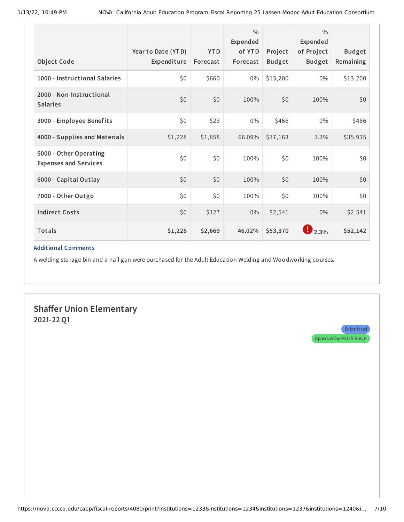| <b>Object Code</b>                                     | Year to Date (YTD)<br>Expenditure | <b>YTD</b><br>Forecast | $\frac{0}{0}$<br>Expended<br>of YTD<br>Forecast | Project<br><b>Budget</b> | $\frac{0}{0}$<br>Expended<br>of Project<br><b>Budget</b> | <b>Budget</b><br>Remaining |
|--------------------------------------------------------|-----------------------------------|------------------------|-------------------------------------------------|--------------------------|----------------------------------------------------------|----------------------------|
| 1000 - Instructional Salaries                          | \$0                               | \$660                  | $0\%$                                           | \$13,200                 | $0\%$                                                    | \$13,200                   |
| 2000 - Non-Instructional<br><b>Salaries</b>            | \$0                               | \$0                    | 100%                                            | \$0                      | 100%                                                     | \$0                        |
| 3000 - Employee Benefits                               | \$0                               | \$23                   | $0\%$                                           | \$466                    | $0\%$                                                    | \$466                      |
| 4000 - Supplies and Materials                          | \$1,228                           | \$1,858                | 66.09%                                          | \$37,163                 | 3.3%                                                     | \$35,935                   |
| 5000 - Other Operating<br><b>Expenses and Services</b> | \$0                               | \$0                    | 100%                                            | \$0                      | 100%                                                     | \$0                        |
| 6000 - Capital Outlay                                  | \$0                               | \$0                    | 100%                                            | \$0                      | 100%                                                     | \$0                        |
| 7000 - Other Outgo                                     | \$0                               | \$0                    | 100%                                            | \$0                      | 100%                                                     | \$0                        |
| <b>Indirect Costs</b>                                  | \$0                               | \$127                  | $0\%$                                           | \$2,541                  | 0%                                                       | \$2,541                    |
| Totals                                                 | \$1,228                           | \$2,669                | 46.02%                                          | \$53,370                 | 12.3%                                                    | \$52,142                   |

A welding storage bin and a nail gun were purchased for the Adult Education Welding and Woodworking courses.

**Shaffer Union Elementary 2021-22 Q1**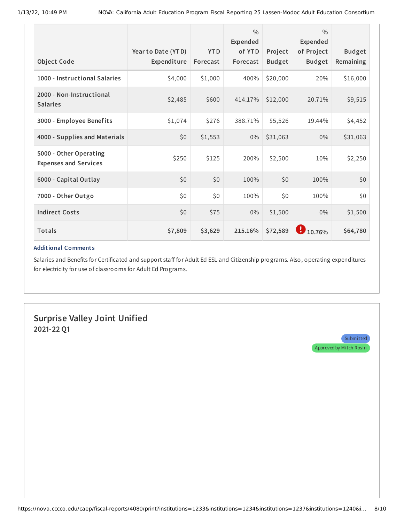| <b>Object Code</b>                                     | Year to Date (YTD)<br>Expenditure | <b>YTD</b><br>Forecast | $\frac{0}{0}$<br>Expended<br>of YTD<br>Forecast | Project<br><b>Budget</b> | $\frac{0}{0}$<br>Expended<br>of Project<br><b>Budget</b> | <b>Budget</b><br>Remaining |
|--------------------------------------------------------|-----------------------------------|------------------------|-------------------------------------------------|--------------------------|----------------------------------------------------------|----------------------------|
| 1000 - Instructional Salaries                          | \$4,000                           | \$1,000                | 400%                                            | \$20,000                 | 20%                                                      | \$16,000                   |
| 2000 - Non-Instructional<br><b>Salaries</b>            | \$2,485                           | \$600                  | 414.17%                                         | \$12,000                 | 20.71%                                                   | \$9,515                    |
| 3000 - Employee Benefits                               | \$1,074                           | \$276                  | 388.71%                                         | \$5,526                  | 19.44%                                                   | \$4,452                    |
| 4000 - Supplies and Materials                          | \$0                               | \$1,553                | 0%                                              | \$31,063                 | 0%                                                       | \$31,063                   |
| 5000 - Other Operating<br><b>Expenses and Services</b> | \$250                             | \$125                  | 200%                                            | \$2,500                  | 10%                                                      | \$2,250                    |
| 6000 - Capital Outlay                                  | \$0                               | \$0                    | 100%                                            | \$0                      | 100%                                                     | \$0                        |
| 7000 - Other Outgo                                     | \$0                               | \$0\$                  | 100%                                            | \$0\$                    | 100%                                                     | \$0                        |
| <b>Indirect Costs</b>                                  | \$0                               | \$75                   | 0%                                              | \$1,500                  | 0%                                                       | \$1,500                    |
| <b>Totals</b>                                          | \$7,809                           | \$3,629                | 215.16%                                         | \$72,589                 | Ð<br>10.76%                                              | \$64,780                   |

Salaries and Benefits for Certificated and support staff for Adult Ed ESL and Citizenship programs. Also, operating expenditures for electricity for use of classrooms for Adult Ed Programs.

**Surprise Valley Joint Unified 2021-22 Q1**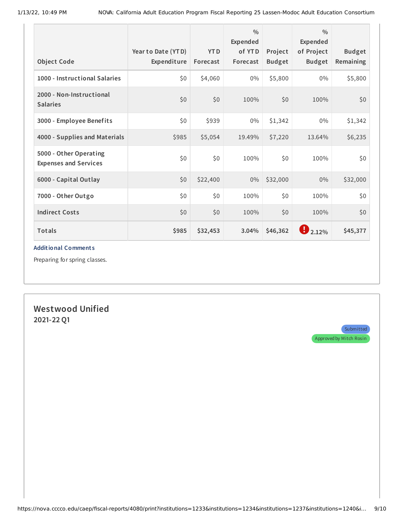| <b>Object Code</b>                                     | Year to Date (YTD)<br>Expenditure | <b>YTD</b><br>Forecast | $\frac{0}{0}$<br>Expended<br>of YTD<br>Forecast | Project<br><b>Budget</b> | $\frac{0}{0}$<br>Expended<br>of Project<br><b>Budget</b> | <b>Budget</b><br>Remaining |
|--------------------------------------------------------|-----------------------------------|------------------------|-------------------------------------------------|--------------------------|----------------------------------------------------------|----------------------------|
| 1000 - Instructional Salaries                          | \$0                               | \$4,060                | 0%                                              | \$5,800                  | $0\%$                                                    | \$5,800                    |
| 2000 - Non-Instructional<br><b>Salaries</b>            | \$0                               | \$0                    | 100%                                            | \$0                      | 100%                                                     | \$0                        |
| 3000 - Employee Benefits                               | \$0\$                             | \$939                  | $0\%$                                           | \$1,342                  | $0\%$                                                    | \$1,342                    |
| 4000 - Supplies and Materials                          | \$985                             | \$5,054                | 19.49%                                          | \$7,220                  | 13.64%                                                   | \$6,235                    |
| 5000 - Other Operating<br><b>Expenses and Services</b> | \$0\$                             | \$0                    | 100%                                            | \$0                      | 100%                                                     | \$0                        |
| 6000 - Capital Outlay                                  | \$0                               | \$22,400               | 0%                                              | \$32,000                 | $0\%$                                                    | \$32,000                   |
| 7000 - Other Outgo                                     | \$0\$                             | \$0                    | 100%                                            | \$0\$                    | 100%                                                     | \$0                        |
| <b>Indirect Costs</b>                                  | \$0                               | \$0                    | 100%                                            | \$0                      | 100%                                                     | \$0                        |
| <b>Totals</b>                                          | \$985                             | \$32,453               | 3.04%                                           | \$46,362                 | $\bigoplus_{2.12\%}$                                     | \$45,377                   |

Preparing for spring classes.

## **Westwood Unified 2021-22 Q1**